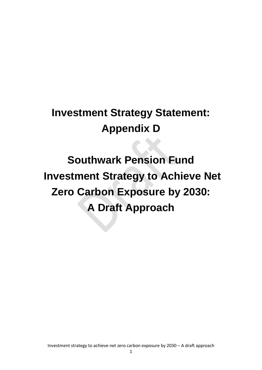## **Investment Strategy Statement: Appendix D**

# **Southwark Pension Fund Investment Strategy to Achieve Net Zero Carbon Exposure by 2030: A Draft Approach**

Investment strategy to achieve net zero carbon exposure by 2030 – A draft approach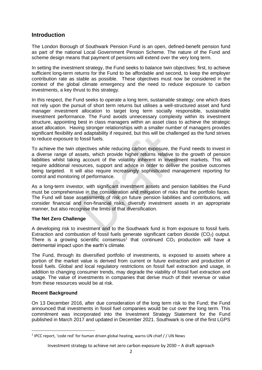## **Introduction**

The London Borough of Southwark Pension Fund is an open, defined-benefit pension fund as part of the national Local Government Pension Scheme. The nature of the Fund and scheme design means that payment of pensions will extend over the very long term.

In setting the investment strategy, the Fund seeks to balance twin objectives: first, to achieve sufficient long-term returns for the Fund to be affordable and second, to keep the employer contribution rate as stable as possible. These objectives must now be considered in the context of the global climate emergency and the need to reduce exposure to carbon investments, a key thrust to this strategy.

In this respect, the Fund seeks to operate a long term, sustainable strategy; one which does not rely upon the pursuit of short term returns but utilises a well-structured asset and fund manager investment allocation to target long term socially responsible, sustainable investment performance. The Fund avoids unnecessary complexity within its investment structure, appointing best in class managers within an asset class to achieve the strategic asset allocation. Having stronger relationships with a smaller number of managers provides significant flexibility and adaptability if required, but this will be challenged as the fund strives to reduce exposure to fossil fuels.

To achieve the twin objectives while reducing carbon exposure, the Fund needs to invest in a diverse range of assets, which provide higher returns relative to the growth of pension liabilities whilst taking account of the volatility inherent in investment markets. This will require additional resources, support and advice in order to deliver the positive outcomes being targeted. It will also require increasingly sophisticated management reporting for control and monitoring of performance.

As a long-term investor, with significant investment assets and pension liabilities the Fund must be comprehensive in the consideration and mitigation of risks that the portfolio faces. The Fund will base assessments of risk on future pension liabilities and contributions, will consider financial and non-financial risks, diversify investment assets in an appropriate manner, but also recognise the limits of that diversification.

## **The Net Zero Challenge**

A developing risk to investment and to the Southwark fund is from exposure to fossil fuels. Extraction and combustion of fossil fuels generate significant carbon dioxide  $(CO_2)$  output. There is a growing scientific consensus<sup>1</sup> that continued  $CO<sub>2</sub>$  production will have a detrimental impact upon the earth's climate.

The Fund, through its diversified portfolio of investments, is exposed to assets where a portion of the market value is derived from current or future extraction and production of fossil fuels. Global and local regulatory restrictions on fossil fuel extraction and usage, in addition to changing consumer trends, may degrade the viability of fossil fuel extraction and usage. The value of investments in companies that derive much of their revenue or value from these resources would be at risk.

#### **Recent Background**

**.** 

On 13 December 2016, after due consideration of the long term risk to the Fund; the Fund announced that investments in fossil fuel companies would be cut over the long term. This commitment was incorporated into the Investment Strategy Statement for the Fund published in March 2017 and updated in December 2021. Southwark is one of the first LGPS

<sup>&</sup>lt;sup>1</sup> IPCC report, 'code red' for human driven global heating, warns UN chief / / UN News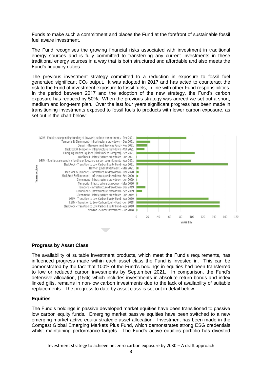Funds to make such a commitment and places the Fund at the forefront of sustainable fossil fuel aware investment.

The Fund recognises the growing financial risks associated with investment in traditional energy sources and is fully committed to transferring any current investments in these traditional energy sources in a way that is both structured and affordable and also meets the Fund's fiduciary duties.

The previous investment strategy committed to a reduction in exposure to fossil fuel generated significant  $CO<sub>2</sub>$  output. It was adopted in 2017 and has acted to counteract the risk to the Fund of investment exposure to fossil fuels, in line with other Fund responsibilities. In the period between 2017 and the adoption of the new strategy, the Fund's carbon exposure has reduced by 50%.When the previous strategy was agreed we set out a short, medium and long-term plan. Over the last four years significant progress has been made in transitioning investments exposed to fossil fuels to products with lower carbon exposure, as set out in the chart below:



#### **Progress by Asset Class**

The availability of suitable investment products, which meet the Fund's requirements, has influenced progress made within each asset class the Fund is invested in. This can be demonstrated by the fact that 100% of the Fund's holdings in equities had been transferred to low or reduced carbon investments by September 2021. In comparison, the Fund's defensive allocation, (15%) which includes investments in absolute return bonds and index linked gilts, remains in non-low carbon investments due to the lack of availability of suitable replacements. The progress to date by asset class is set out in detail below.

## **Equities**

The Fund's holdings in passive developed market equities have been transitioned to passive low carbon equity funds. Emerging market passive equities have been switched to a new emerging market active equity strategic asset allocation. Investment has been made in the Comgest Global Emerging Markets Plus Fund, which demonstrates strong ESG credentials whilst maintaining performance targets. The Fund's active equities portfolio has divested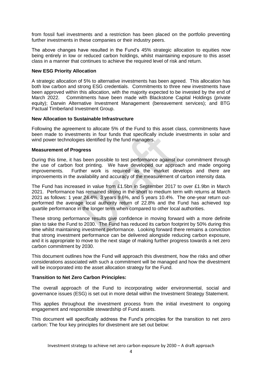from fossil fuel investments and a restriction has been placed on the portfolio preventing further investments in these companies or their industry peers.

The above changes have resulted in the Fund's 45% strategic allocation to equities now being entirely in low or reduced carbon holdings, whilst maintaining exposure to this asset class in a manner that continues to achieve the required level of risk and return.

#### **New ESG Priority Allocation**

A strategic allocation of 5% to alternative investments has been agreed. This allocation has both low carbon and strong ESG credentials. Commitments to three new investments have been approved within this allocation, with the majority expected to be invested by the end of March 2022. Commitments have been made with Blackstone Capital Holdings (private equity); Darwin Alternative Investment Management (bereavement services); and BTG Pactual Timberland Investment Group.

#### **New Allocation to Sustainable Infrastructure**

Following the agreement to allocate 5% of the Fund to this asset class, commitments have been made to investments in four funds that specifically include investments in solar and wind power technologies identified by the fund managers.

### **Measurement of Progress**

During this time, it has been possible to test performance against our commitment through the use of carbon foot printing. We have developed our approach and made ongoing improvements. Further work is required as the market develops and there are improvements in the availability and accuracy of the measurement of carbon intensity data.

The Fund has increased in value from £1.5bn in September 2017 to over £1.9bn in March 2021. Performance has remained strong in the short to medium term with returns at March 2021 as follows: 1 year 24.4%, 3 years 9.6%, and 5 years 10.4%. The one-year return outperformed the average local authority return of 22.8% and the Fund has achieved top quartile performance in the longer term when compared to other local authorities.

These strong performance results give confidence in moving forward with a more definite plan to take the Fund to 2030. The Fund has reduced its carbon footprint by 50% during this time whilst maintaining investment performance. Looking forward there remains a conviction that strong investment performance can be delivered alongside reducing carbon exposure, and it is appropriate to move to the next stage of making further progress towards a net zero carbon commitment by 2030.

This document outlines how the Fund will approach this divestment, how the risks and other considerations associated with such a commitment will be managed and how the divestment will be incorporated into the asset allocation strategy for the Fund.

#### **Transition to Net Zero Carbon Principles:**

The overall approach of the Fund to incorporating wider environmental, social and governance issues (ESG) is set out in more detail within the Investment Strategy Statement.

This applies throughout the investment process from the initial investment to ongoing engagement and responsible stewardship of Fund assets.

This document will specifically address the Fund's principles for the transition to net zero carbon: The four key principles for divestment are set out below: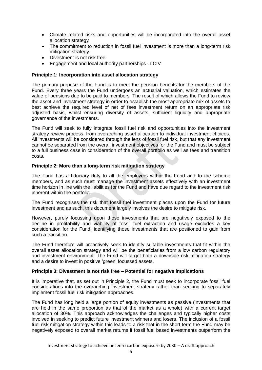- Climate related risks and opportunities will be incorporated into the overall asset allocation strategy
- The commitment to reduction in fossil fuel investment is more than a long-term risk mitigation strategy.
- Divestment is not risk free.
- Engagement and local authority partnerships LCIV

#### **Principle 1: Incorporation into asset allocation strategy**

The primary purpose of the Fund is to meet the pension benefits for the members of the Fund. Every three years the Fund undergoes an actuarial valuation, which estimates the value of pensions due to be paid to members. The result of which allows the Fund to review the asset and investment strategy in order to establish the most appropriate mix of assets to best achieve the required level of net of fees investment return on an appropriate risk adjusted basis, whilst ensuring diversity of assets, sufficient liquidity and appropriate governance of the investments.

The Fund will seek to fully integrate fossil fuel risk and opportunities into the investment strategy review process, from overarching asset allocation to individual investment choices. All investments will be considered through the lens of fossil fuel risk, but that any investment cannot be separated from the overall investment objectives for the Fund and must be subject to a full business case in consideration of the overall portfolio as well as fees and transition costs.

### **Principle 2: More than a long-term risk mitigation strategy**

The Fund has a fiduciary duty to all the employers within the Fund and to the scheme members, and as such must manage the investment assets effectively with an investment time horizon in line with the liabilities for the Fund and have due regard to the investment risk inherent within the portfolio.

The Fund recognises the risk that fossil fuel investment places upon the Fund for future investment and as such, this document largely involves the desire to mitigate risk.

However, purely focussing upon those investments that are negatively exposed to the decline in profitability and viability of fossil fuel extraction and usage excludes a key consideration for the Fund; identifying those investments that are positioned to gain from such a transition.

The Fund therefore will proactively seek to identify suitable investments that fit within the overall asset allocation strategy and will be the beneficiaries from a low carbon regulatory and investment environment. The Fund will target both a downside risk mitigation strategy and a desire to invest in positive 'green' focussed assets.

#### **Principle 3: Divestment is not risk free – Potential for negative implications**

It is imperative that, as set out in Principle 2, the Fund must seek to incorporate fossil fuel considerations into the overarching investment strategy rather than seeking to separately implement fossil fuel risk mitigation approaches.

The Fund has long held a large portion of equity investments as passive (investments that are held in the same proportion as that of the market as a whole) with a current target allocation of 30%. This approach acknowledges the challenges and typically higher costs involved in seeking to predict future investment winners and losers. The inclusion of a fossil fuel risk mitigation strategy within this leads to a risk that in the short term the Fund may be negatively exposed to overall market returns if fossil fuel based investments outperform the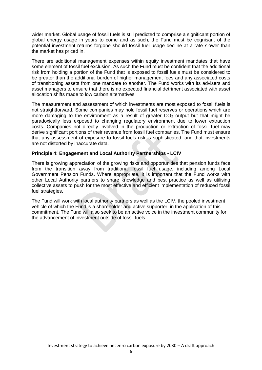wider market. Global usage of fossil fuels is still predicted to comprise a significant portion of global energy usage in years to come and as such, the Fund must be cognisant of the potential investment returns forgone should fossil fuel usage decline at a rate slower than the market has priced in.

There are additional management expenses within equity investment mandates that have some element of fossil fuel exclusion. As such the Fund must be confident that the additional risk from holding a portion of the Fund that is exposed to fossil fuels must be considered to be greater than the additional burden of higher management fees and any associated costs of transitioning assets from one mandate to another. The Fund works with its advisers and asset managers to ensure that there is no expected financial detriment associated with asset allocation shifts made to low carbon alternatives.

The measurement and assessment of which investments are most exposed to fossil fuels is not straightforward. Some companies may hold fossil fuel reserves or operations which are more damaging to the environment as a result of greater  $CO<sub>2</sub>$  output but that might be paradoxically less exposed to changing regulatory environment due to lower extraction costs. Companies not directly involved in the production or extraction of fossil fuel may derive significant portions of their revenue from fossil fuel companies. The Fund must ensure that any assessment of exposure to fossil fuels risk is sophisticated, and that investments are not distorted by inaccurate data.

#### **Principle 4: Engagement and Local Authority Partnerships - LCIV**

There is growing appreciation of the growing risks and opportunities that pension funds face from the transition away from traditional fossil fuel usage, including among Local Government Pension Funds. Where appropriate, it is important that the Fund works with other Local Authority partners to share knowledge and best practice as well as utilising collective assets to push for the most effective and efficient implementation of reduced fossil fuel strategies.

The Fund will work with local authority partners as well as the LCIV, the pooled investment vehicle of which the Fund is a shareholder and active supporter, in the application of this commitment. The Fund will also seek to be an active voice in the investment community for the advancement of investment outside of fossil fuels.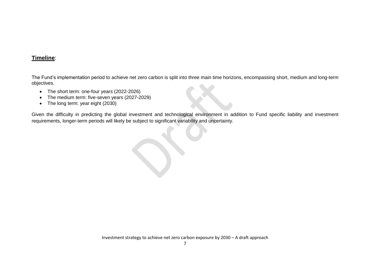## **Timeline**:

The Fund's implementation period to achieve net zero carbon is split into three main time horizons, encompassing short, medium and long-term objectives.

- The short term: one-four years (2022-2026)
- The medium term: five-seven years (2027-2029)
- The long term: year eight (2030)

Given the difficulty in predicting the global investment and technological environment in addition to Fund specific liability and investment requirements, longer-term periods will likely be subject to significant variability and uncertainty.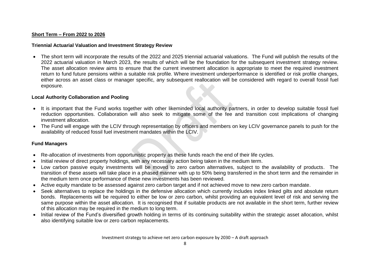#### **Short Term – From 2022 to 2026**

#### **Triennial Actuarial Valuation and Investment Strategy Review**

 The short term will incorporate the results of the 2022 and 2025 triennial actuarial valuations. The Fund will publish the results of the 2022 actuarial valuation in March 2023, the results of which will be the foundation for the subsequent investment strategy review. The asset allocation review aims to ensure that the current investment allocation is appropriate to meet the required investment return to fund future pensions within a suitable risk profile. Where investment underperformance is identified or risk profile changes, either across an asset class or manager specific, any subsequent reallocation will be considered with regard to overall fossil fuel exposure.

#### **Local Authority Collaboration and Pooling**

- It is important that the Fund works together with other likeminded local authority partners, in order to develop suitable fossil fuel reduction opportunities. Collaboration will also seek to mitigate some of the fee and transition cost implications of changing investment allocation.
- The Fund will engage with the LCIV through representation by officers and members on key LCIV governance panels to push for the availability of reduced fossil fuel investment mandates within the LCIV.

#### **Fund Managers**

- Re-allocation of investments from opportunistic property as these funds reach the end of their life cycles.
- Initial review of direct property holdings, with any necessary action being taken in the medium term.
- Low carbon passive equity investments will be moved to zero carbon alternatives, subject to the availability of products. The transition of these assets will take place in a phased manner with up to 50% being transferred in the short term and the remainder in the medium term once performance of these new investments has been reviewed.
- Active equity mandate to be assessed against zero carbon target and if not achieved move to new zero carbon mandate.
- Seek alternatives to replace the holdings in the defensive allocation which currently includes index linked gilts and absolute return bonds. Replacements will be required to either be low or zero carbon, whilst providing an equivalent level of risk and serving the same purpose within the asset allocation. It is recognised that if suitable products are not available in the short term, further review of this allocation may be required in the medium to long term.
- Initial review of the Fund's diversified growth holding in terms of its continuing suitability within the strategic asset allocation, whilst also identifying suitable low or zero carbon replacements.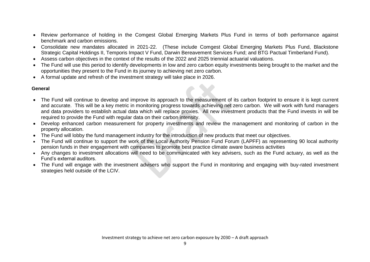- Review performance of holding in the Comgest Global Emerging Markets Plus Fund in terms of both performance against benchmark and carbon emissions.
- Consolidate new mandates allocated in 2021-22. (These include Comgest Global Emerging Markets Plus Fund, Blackstone Strategic Capital Holdings II, Temporis Impact V Fund, Darwin Bereavement Services Fund; and BTG Pactual Timberland Fund).
- Assess carbon objectives in the context of the results of the 2022 and 2025 triennial actuarial valuations.
- The Fund will use this period to identify developments in low and zero carbon equity investments being brought to the market and the opportunities they present to the Fund in its journey to achieving net zero carbon.
- A formal update and refresh of the investment strategy will take place in 2026.

#### **General**

- The Fund will continue to develop and improve its approach to the measurement of its carbon footprint to ensure it is kept current and accurate. This will be a key metric in monitoring progress towards achieving net zero carbon. We will work with fund managers and data providers to establish actual data which will replace proxies. All new investment products that the Fund invests in will be required to provide the Fund with regular data on their carbon intensity.
- Develop enhanced carbon measurement for property investments and review the management and monitoring of carbon in the property allocation.
- The Fund will lobby the fund management industry for the introduction of new products that meet our objectives.
- The Fund will continue to support the work of the Local Authority Pension Fund Forum (LAPFF) as representing 90 local authority pension funds in their engagement with companies to promote best practice climate aware business activities
- Any changes to investment allocations will need to be communicated with key advisers, such as the Fund actuary, as well as the Fund's external auditors.
- The Fund will engage with the investment advisers who support the Fund in monitoring and engaging with buy-rated investment strategies held outside of the LCIV.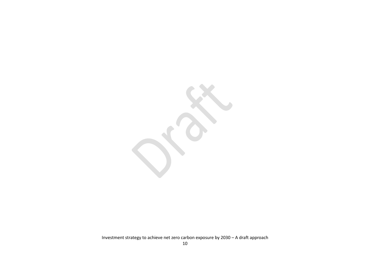Investment strategy to achieve net zero carbon exposure by 2030 – A draft approach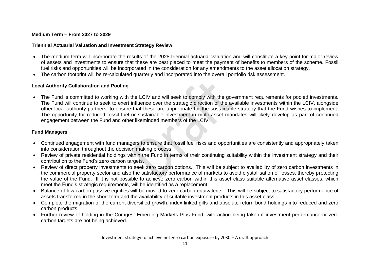#### **Medium Term – From 2027 to 2029**

#### **Triennial Actuarial Valuation and Investment Strategy Review**

- The medium term will incorporate the results of the 2028 triennial actuarial valuation and will constitute a key point for major review of assets and investments to ensure that these are best placed to meet the payment of benefits to members of the scheme. Fossil fuel risks and opportunities will be incorporated in the consideration for any amendments to the asset allocation strategy.
- The carbon footprint will be re-calculated quarterly and incorporated into the overall portfolio risk assessment.

### **Local Authority Collaboration and Pooling**

• The Fund is committed to working with the LCIV and will seek to comply with the government requirements for pooled investments. The Fund will continue to seek to exert influence over the strategic direction of the available investments within the LCIV, alongside other local authority partners, to ensure that these are appropriate for the sustainable strategy that the Fund wishes to implement. The opportunity for reduced fossil fuel or sustainable investment in multi asset mandates will likely develop as part of continued engagement between the Fund and other likeminded members of the LCIV.

## **Fund Managers**

- Continued engagement with fund managers to ensure that fossil fuel risks and opportunities are consistently and appropriately taken into consideration throughout the decision making process.
- Review of private residential holdings within the Fund in terms of their continuing suitability within the investment strategy and their contribution to the Fund's zero carbon targets.
- Review of direct property investments to seek zero carbon options. This will be subject to availability of zero carbon investments in the commercial property sector and also the satisfactory performance of markets to avoid crystallisation of losses, thereby protecting the value of the Fund. If it is not possible to achieve zero carbon within this asset class suitable alternative asset classes, which meet the Fund's strategic requirements, will be identified as a replacement.
- Balance of low carbon passive equities will be moved to zero carbon equivalents. This will be subject to satisfactory performance of assets transferred in the short term and the availability of suitable investment products in this asset class.
- Complete the migration of the current diversified growth, index linked gilts and absolute return bond holdings into reduced and zero carbon products.
- Further review of holding in the Comgest Emerging Markets Plus Fund, with action being taken if investment performance or zero carbon targets are not being achieved.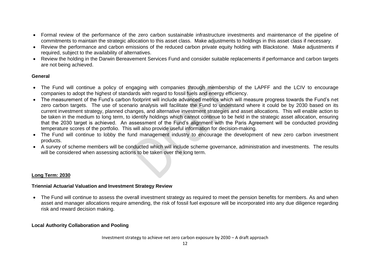- Formal review of the performance of the zero carbon sustainable infrastructure investments and maintenance of the pipeline of commitments to maintain the strategic allocation to this asset class. Make adjustments to holdings in this asset class if necessary.
- Review the performance and carbon emissions of the reduced carbon private equity holding with Blackstone. Make adjustments if required, subject to the availability of alternatives.
- Review the holding in the Darwin Bereavement Services Fund and consider suitable replacements if performance and carbon targets are not being achieved.

#### **General**

- The Fund will continue a policy of engaging with companies through membership of the LAPFF and the LCIV to encourage companies to adopt the highest of standards with regard to fossil fuels and energy efficiency.
- The measurement of the Fund's carbon footprint will include advanced metrics which will measure progress towards the Fund's net zero carbon targets. The use of scenario analysis will facilitate the Fund to understand where it could be by 2030 based on its current investment strategy, planned changes, and alternative investment strategies and asset allocations. This will enable action to be taken in the medium to long term, to identify holdings which cannot continue to be held in the strategic asset allocation, ensuring that the 2030 target is achieved. An assessment of the Fund's alignment with the Paris Agreement will be conducted providing temperature scores of the portfolio. This will also provide useful information for decision-making.
- The Fund will continue to lobby the fund management industry to encourage the development of new zero carbon investment products.
- A survey of scheme members will be conducted which will include scheme governance, administration and investments. The results will be considered when assessing actions to be taken over the long term.

#### **Long Term: 2030**

#### **Triennial Actuarial Valuation and Investment Strategy Review**

• The Fund will continue to assess the overall investment strategy as required to meet the pension benefits for members. As and when asset and manager allocations require amending, the risk of fossil fuel exposure will be incorporated into any due diligence regarding risk and reward decision making.

## **Local Authority Collaboration and Pooling**